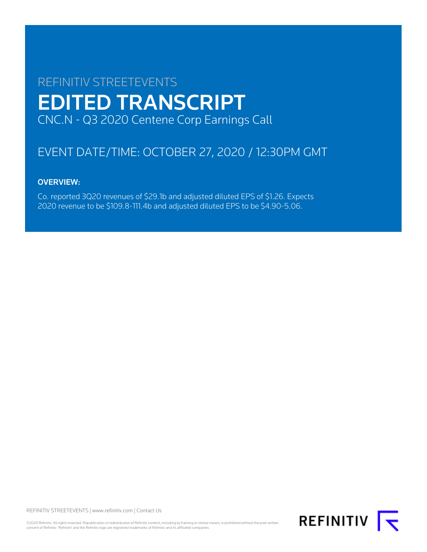# REFINITIV STREETEVENTS EDITED TRANSCRIPT CNC.N - Q3 2020 Centene Corp Earnings Call

# EVENT DATE/TIME: OCTOBER 27, 2020 / 12:30PM GMT

# OVERVIEW:

Co. reported 3Q20 revenues of \$29.1b and adjusted diluted EPS of \$1.26. Expects 2020 revenue to be \$109.8-111.4b and adjusted diluted EPS to be \$4.90-5.06.

REFINITIV STREETEVENTS | www.refinitiv.com | Contact Us

©2020 Refinitiv. All rights reserved. Republication or redistribution of Refinitiv content, including by framing or similar means, is prohibited without the prior written consent of Refinitiv. 'Refinitiv' and the Refinitiv logo are registered trademarks of Refinitiv and its affiliated companies.

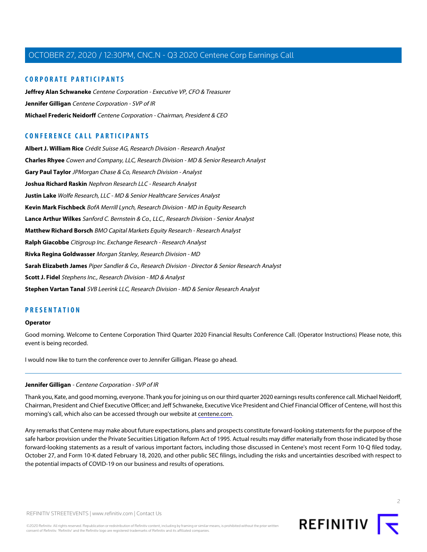## **CORPORATE PARTICIPANTS CORPORATE PARTICIPANTS**

**Jeffrey Alan Schwaneke** Centene Corporation - Executive VP, CFO & Treasurer **Jeffrey Alan Schwaneke** Centene Corporation - Executive VP, CFO & Treasurer **Jennifer Gilligan** Centene Corporation - SVP of IR **Jennifer Gilligan** Centene Corporation - SVP of IR **Michael Frederic Neidorff** Centene Corporation - Chairman, President & CEO **Michael Frederic Neidorff** Centene Corporation - Chairman, President & CEO

## **CONFERENCE CALL PARTICIPANTS**

**Albert J. William Rice** Crédit Suisse AG, Research Division - Research Analyst **Charles Rhyee** Cowen and Company, LLC, Research Division - MD & Senior Research Analyst **Gary Paul Taylor** JPMorgan Chase & Co, Research Division - Analyst **Joshua Richard Raskin** Nephron Research LLC - Research Analyst **Justin Lake** Wolfe Research, LLC - MD & Senior Healthcare Services Analyst **Kevin Mark Fischbeck** BofA Merrill Lynch, Research Division - MD in Equity Research **Lance Arthur Wilkes** Sanford C. Bernstein & Co., LLC., Research Division - Senior Analyst **Matthew Richard Borsch** BMO Capital Markets Equity Research - Research Analyst **Ralph Giacobbe** Citigroup Inc. Exchange Research - Research Analyst **Rivka Regina Goldwasser** Morgan Stanley, Research Division - MD **Sarah Elizabeth James** Piper Sandler & Co., Research Division - Director & Senior Research Analyst **Scott J. Fidel** Stephens Inc., Research Division - MD & Analyst **Stephen Vartan Tanal** SVB Leerink LLC, Research Division - MD & Senior Research Analyst

## **PRESENTATION**

#### **Operator**

Good morning. Welcome to Centene Corporation Third Quarter 2020 Financial Results Conference Call. (Operator Instructions) Please note, this event is being recorded.

I would now like to turn the conference over to Jennifer Gilligan. Please go ahead.

#### **Jennifer Gilligan** - Centene Corporation - SVP of IR

Thank you, Kate, and good morning, everyone. Thank you for joining us on our third quarter 2020 earnings results conference call. Michael Neidorff, Chairman, President and Chief Executive Officer; and Jeff Schwaneke, Executive Vice President and Chief Financial Officer of Centene, will host this morning's call, which also can be accessed through our website at [centene.com.](http://www.centene.com)

Any remarks that Centene may make about future expectations, plans and prospects constitute forward-looking statements for the purpose of the safe harbor provision under the Private Securities Litigation Reform Act of 1995. Actual results may differ materially from those indicated by those forward-looking statements as a result of various important factors, including those discussed in Centene's most recent Form 10-Q filed today, October 27, and Form 10-K dated February 18, 2020, and other public SEC filings, including the risks and uncertainties described with respect to the potential impacts of COVID-19 on our business and results of operations.

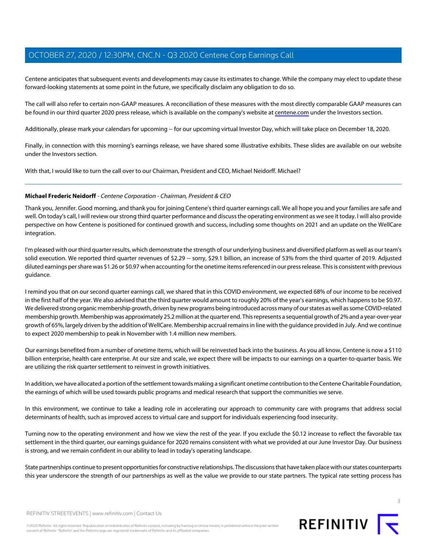Centene anticipates that subsequent events and developments may cause its estimates to change. While the company may elect to update these forward-looking statements at some point in the future, we specifically disclaim any obligation to do so. forward-looking statements at some point in the future, we specifically disclaim any obligation to do so.

The call will also refer to certain non-GAAP measures. A reconciliation of these measures with the most directly comparable GAAP measures can be found in our third quarter 2020 press release, which is available on the company's website at [centene.com](http://www.centene.com) under the Investors section.

Additionally, please mark your calendars for upcoming -- for our upcoming virtual Investor Day, which will take place on December 18, 2020.

Finally, in connection with this morning's earnings release, we have shared some illustrative exhibits. These slides are available on our website under the Investors section.

With that, I would like to turn the call over to our Chairman, President and CEO, Michael Neidorff. Michael?

## **Michael Frederic Neidorff** - Centene Corporation - Chairman, President & CEO

Thank you, Jennifer. Good morning, and thank you for joining Centene's third quarter earnings call. We all hope you and your families are safe and well. On today's call, I will review our strong third quarter performance and discuss the operating environment as we see it today. I will also provide perspective on how Centene is positioned for continued growth and success, including some thoughts on 2021 and an update on the WellCare integration.

I'm pleased with our third quarter results, which demonstrate the strength of our underlying business and diversified platform as well as our team's solid execution. We reported third quarter revenues of \$2.29 -- sorry, \$29.1 billion, an increase of 53% from the third quarter of 2019. Adjusted diluted earnings per share was \$1.26 or \$0.97 when accounting for the onetime items referenced in our press release. This is consistent with previous guidance.

I remind you that on our second quarter earnings call, we shared that in this COVID environment, we expected 68% of our income to be received in the first half of the year. We also advised that the third quarter would amount to roughly 20% of the year's earnings, which happens to be \$0.97. We delivered strong organic membership growth, driven by new programs being introduced across many of our states as well as some COVID-related membership growth. Membership was approximately 25.2 million at the quarter end. This represents a sequential growth of 2% and a year-over-year growth of 65%, largely driven by the addition of WellCare. Membership accrual remains in line with the guidance provided in July. And we continue to expect 2020 membership to peak in November with 1.4 million new members.

Our earnings benefited from a number of onetime items, which will be reinvested back into the business. As you all know, Centene is now a \$110 billion enterprise, health care enterprise. At our size and scale, we expect there will be impacts to our earnings on a quarter-to-quarter basis. We are utilizing the risk quarter settlement to reinvest in growth initiatives.

In addition, we have allocated a portion of the settlement towards making a significant onetime contribution to the Centene Charitable Foundation, the earnings of which will be used towards public programs and medical research that support the communities we serve.

In this environment, we continue to take a leading role in accelerating our approach to community care with programs that address social determinants of health, such as improved access to virtual care and support for individuals experiencing food insecurity.

Turning now to the operating environment and how we view the rest of the year. If you exclude the \$0.12 increase to reflect the favorable tax settlement in the third quarter, our earnings guidance for 2020 remains consistent with what we provided at our June Investor Day. Our business is strong, and we remain confident in our ability to lead in today's operating landscape.

State partnerships continue to present opportunities for constructive relationships. The discussions that have taken place with our states counterparts this year underscore the strength of our partnerships as well as the value we provide to our state partners. The typical rate setting process has



REFINITIV STREETEVENTS | www.refinitiv.com | Contact Us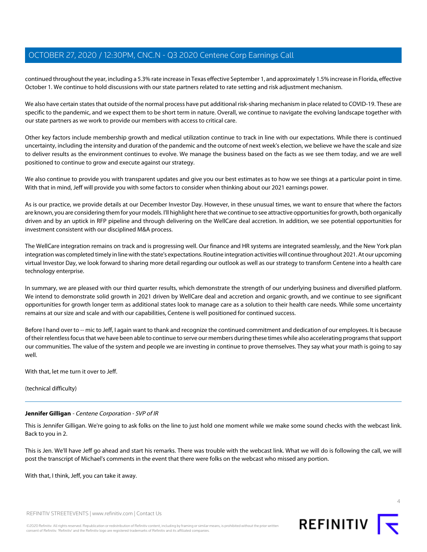continued throughout the year, including a 5.3% rate increase in Texas effective September 1, and approximately 1.5% increase in Florida, effective October 1. We continue to hold discussions with our state partners related to rate setting and risk adjustment mechanism.

We also have certain states that outside of the normal process have put additional risk-sharing mechanism in place related to COVID-19. These are specific to the pandemic, and we expect them to be short term in nature. Overall, we continue to navigate the evolving landscape together with our state partners as we work to provide our members with access to critical care.

Other key factors include membership growth and medical utilization continue to track in line with our expectations. While there is continued uncertainty, including the intensity and duration of the pandemic and the outcome of next week's election, we believe we have the scale and size to deliver results as the environment continues to evolve. We manage the business based on the facts as we see them today, and we are well positioned to continue to grow and execute against our strategy.

We also continue to provide you with transparent updates and give you our best estimates as to how we see things at a particular point in time. With that in mind, Jeff will provide you with some factors to consider when thinking about our 2021 earnings power.

As is our practice, we provide details at our December Investor Day. However, in these unusual times, we want to ensure that where the factors are known, you are considering them for your models. I'll highlight here that we continue to see attractive opportunities for growth, both organically driven and by an uptick in RFP pipeline and through delivering on the WellCare deal accretion. In addition, we see potential opportunities for investment consistent with our disciplined M&A process.

The WellCare integration remains on track and is progressing well. Our finance and HR systems are integrated seamlessly, and the New York plan integration was completed timely in line with the state's expectations. Routine integration activities will continue throughout 2021. At our upcoming virtual Investor Day, we look forward to sharing more detail regarding our outlook as well as our strategy to transform Centene into a health care technology enterprise.

In summary, we are pleased with our third quarter results, which demonstrate the strength of our underlying business and diversified platform. We intend to demonstrate solid growth in 2021 driven by WellCare deal and accretion and organic growth, and we continue to see significant opportunities for growth longer term as additional states look to manage care as a solution to their health care needs. While some uncertainty remains at our size and scale and with our capabilities, Centene is well positioned for continued success.

Before I hand over to -- mic to Jeff, I again want to thank and recognize the continued commitment and dedication of our employees. It is because of their relentless focus that we have been able to continue to serve our members during these times while also accelerating programs that support our communities. The value of the system and people we are investing in continue to prove themselves. They say what your math is going to say well.

With that, let me turn it over to Jeff.

(technical difficulty)

## **Jennifer Gilligan** - Centene Corporation - SVP of IR

This is Jennifer Gilligan. We're going to ask folks on the line to just hold one moment while we make some sound checks with the webcast link. Back to you in 2.

This is Jen. We'll have Jeff go ahead and start his remarks. There was trouble with the webcast link. What we will do is following the call, we will post the transcript of Michael's comments in the event that there were folks on the webcast who missed any portion.

With that, I think, Jeff, you can take it away.

REFINITIV STREETEVENTS | www.refinitiv.com | Contact Us



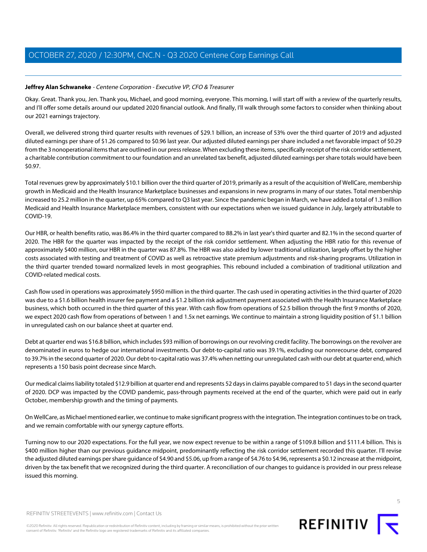## **Jeffrey Alan Schwaneke** - Centene Corporation - Executive VP, CFO & Treasurer **Jeffrey Alan Schwaneke** - Centene Corporation - Executive VP, CFO & Treasurer

Okay. Great. Thank you, Jen. Thank you, Michael, and good morning, everyone. This morning, I will start off with a review of the quarterly results, and I'll offer some details around our updated 2020 financial outlook. And finally, I'll walk through some factors to consider when thinking about our 2021 earnings trajectory. our 2021 earnings trajectory.

Overall, we delivered strong third quarter results with revenues of \$29.1 billion, an increase of 53% over the third quarter of 2019 and adjusted diluted earnings per share of \$1.26 compared to \$0.96 last year. Our adjusted diluted earnings per share included a net favorable impact of \$0.29 from the 3 nonoperational items that are outlined in our press release. When excluding these items, specifically receipt of the risk corridor settlement, a charitable contribution commitment to our foundation and an unrelated tax benefit, adjusted diluted earnings per share totals would have been \$0.97.

Total revenues grew by approximately \$10.1 billion over the third quarter of 2019, primarily as a result of the acquisition of WellCare, membership growth in Medicaid and the Health Insurance Marketplace businesses and expansions in new programs in many of our states. Total membership increased to 25.2 million in the quarter, up 65% compared to Q3 last year. Since the pandemic began in March, we have added a total of 1.3 million Medicaid and Health Insurance Marketplace members, consistent with our expectations when we issued guidance in July, largely attributable to COVID-19.

Our HBR, or health benefits ratio, was 86.4% in the third quarter compared to 88.2% in last year's third quarter and 82.1% in the second quarter of 2020. The HBR for the quarter was impacted by the receipt of the risk corridor settlement. When adjusting the HBR ratio for this revenue of approximately \$400 million, our HBR in the quarter was 87.8%. The HBR was also aided by lower traditional utilization, largely offset by the higher costs associated with testing and treatment of COVID as well as retroactive state premium adjustments and risk-sharing programs. Utilization in the third quarter trended toward normalized levels in most geographies. This rebound included a combination of traditional utilization and COVID-related medical costs.

Cash flow used in operations was approximately \$950 million in the third quarter. The cash used in operating activities in the third quarter of 2020 was due to a \$1.6 billion health insurer fee payment and a \$1.2 billion risk adjustment payment associated with the Health Insurance Marketplace business, which both occurred in the third quarter of this year. With cash flow from operations of \$2.5 billion through the first 9 months of 2020, we expect 2020 cash flow from operations of between 1 and 1.5x net earnings. We continue to maintain a strong liquidity position of \$1.1 billion in unregulated cash on our balance sheet at quarter end.

Debt at quarter end was \$16.8 billion, which includes \$93 million of borrowings on our revolving credit facility. The borrowings on the revolver are denominated in euros to hedge our international investments. Our debt-to-capital ratio was 39.1%, excluding our nonrecourse debt, compared to 39.7% in the second quarter of 2020. Our debt-to-capital ratio was 37.4% when netting our unregulated cash with our debt at quarter end, which represents a 150 basis point decrease since March.

Our medical claims liability totaled \$12.9 billion at quarter end and represents 52 days in claims payable compared to 51 days in the second quarter of 2020. DCP was impacted by the COVID pandemic, pass-through payments received at the end of the quarter, which were paid out in early October, membership growth and the timing of payments.

On WellCare, as Michael mentioned earlier, we continue to make significant progress with the integration. The integration continues to be on track, and we remain comfortable with our synergy capture efforts.

Turning now to our 2020 expectations. For the full year, we now expect revenue to be within a range of \$109.8 billion and \$111.4 billion. This is \$400 million higher than our previous guidance midpoint, predominantly reflecting the risk corridor settlement recorded this quarter. I'll revise the adjusted diluted earnings per share guidance of \$4.90 and \$5.06, up from a range of \$4.76 to \$4.96, represents a \$0.12 increase at the midpoint, driven by the tax benefit that we recognized during the third quarter. A reconciliation of our changes to guidance is provided in our press release issued this morning.



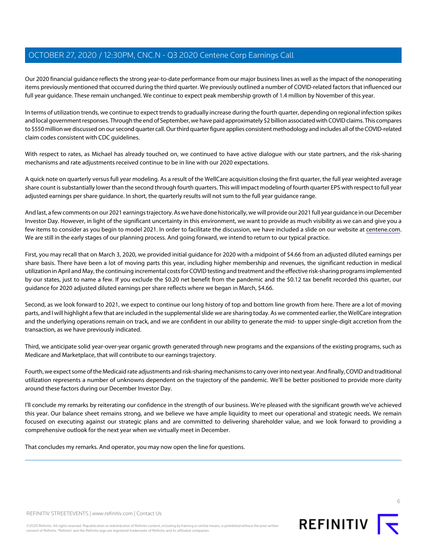Our 2020 financial guidance reflects the strong year-to-date performance from our major business lines as well as the impact of the nonoperating items previously mentioned that occurred during the third quarter. We previously outlined a number of COVID-related factors that influenced our full year guidance. These remain unchanged. We continue to expect peak membership growth of 1.4 million by November of this year.

In terms of utilization trends, we continue to expect trends to gradually increase during the fourth quarter, depending on regional infection spikes and local government responses. Through the end of September, we have paid approximately \$2 billion associated with COVID claims. This compares to \$550 million we discussed on our second quarter call. Our third quarter figure applies consistent methodology and includes all of the COVID-related claim codes consistent with CDC guidelines.

With respect to rates, as Michael has already touched on, we continued to have active dialogue with our state partners, and the risk-sharing mechanisms and rate adjustments received continue to be in line with our 2020 expectations.

A quick note on quarterly versus full year modeling. As a result of the WellCare acquisition closing the first quarter, the full year weighted average share count is substantially lower than the second through fourth quarters. This will impact modeling of fourth quarter EPS with respect to full year adjusted earnings per share guidance. In short, the quarterly results will not sum to the full year guidance range.

And last, a few comments on our 2021 earnings trajectory. As we have done historically, we will provide our 2021 full year guidance in our December Investor Day. However, in light of the significant uncertainty in this environment, we want to provide as much visibility as we can and give you a few items to consider as you begin to model 2021. In order to facilitate the discussion, we have included a slide on our website at [centene.com](http://www.centene.com). We are still in the early stages of our planning process. And going forward, we intend to return to our typical practice.

First, you may recall that on March 3, 2020, we provided initial guidance for 2020 with a midpoint of \$4.66 from an adjusted diluted earnings per share basis. There have been a lot of moving parts this year, including higher membership and revenues, the significant reduction in medical utilization in April and May, the continuing incremental costs for COVID testing and treatment and the effective risk-sharing programs implemented by our states, just to name a few. If you exclude the \$0.20 net benefit from the pandemic and the \$0.12 tax benefit recorded this quarter, our guidance for 2020 adjusted diluted earnings per share reflects where we began in March, \$4.66.

Second, as we look forward to 2021, we expect to continue our long history of top and bottom line growth from here. There are a lot of moving parts, and I will highlight a few that are included in the supplemental slide we are sharing today. As we commented earlier, the WellCare integration and the underlying operations remain on track, and we are confident in our ability to generate the mid- to upper single-digit accretion from the transaction, as we have previously indicated.

Third, we anticipate solid year-over-year organic growth generated through new programs and the expansions of the existing programs, such as Medicare and Marketplace, that will contribute to our earnings trajectory.

Fourth, we expect some of the Medicaid rate adjustments and risk-sharing mechanisms to carry over into next year. And finally, COVID and traditional utilization represents a number of unknowns dependent on the trajectory of the pandemic. We'll be better positioned to provide more clarity around these factors during our December Investor Day.

I'll conclude my remarks by reiterating our confidence in the strength of our business. We're pleased with the significant growth we've achieved this year. Our balance sheet remains strong, and we believe we have ample liquidity to meet our operational and strategic needs. We remain focused on executing against our strategic plans and are committed to delivering shareholder value, and we look forward to providing a comprehensive outlook for the next year when we virtually meet in December.

That concludes my remarks. And operator, you may now open the line for questions.



6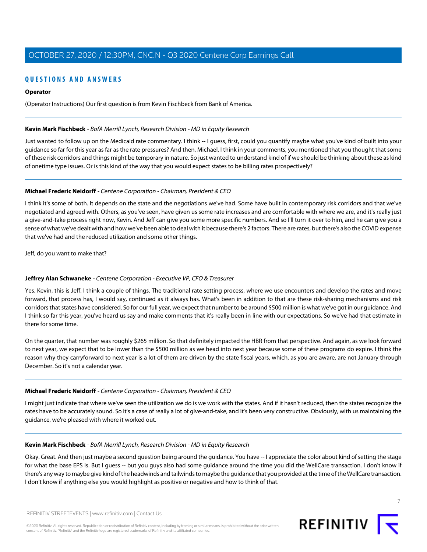## **QUESTIONS AND ANSWERS QUESTIONS AND ANSWERS**

## **Operator Operator**

(Operator Instructions) Our first question is from Kevin Fischbeck from Bank of America. (Operator Instructions) Our first question is from Kevin Fischbeck from Bank of America.

## **Kevin Mark Fischbeck** - BofA Merrill Lynch, Research Division - MD in Equity Research

Just wanted to follow up on the Medicaid rate commentary. I think -- I guess, first, could you quantify maybe what you've kind of built into your guidance so far for this year as far as the rate pressures? And then, Michael, I think in your comments, you mentioned that you thought that some of these risk corridors and things might be temporary in nature. So just wanted to understand kind of if we should be thinking about these as kind of onetime type issues. Or is this kind of the way that you would expect states to be billing rates prospectively?

## **Michael Frederic Neidorff** - Centene Corporation - Chairman, President & CEO

I think it's some of both. It depends on the state and the negotiations we've had. Some have built in contemporary risk corridors and that we've negotiated and agreed with. Others, as you've seen, have given us some rate increases and are comfortable with where we are, and it's really just a give-and-take process right now, Kevin. And Jeff can give you some more specific numbers. And so I'll turn it over to him, and he can give you a sense of what we've dealt with and how we've been able to deal with it because there's 2 factors. There are rates, but there's also the COVID expense that we've had and the reduced utilization and some other things.

Jeff, do you want to make that?

## **Jeffrey Alan Schwaneke** - Centene Corporation - Executive VP, CFO & Treasurer

Yes. Kevin, this is Jeff. I think a couple of things. The traditional rate setting process, where we use encounters and develop the rates and move forward, that process has, I would say, continued as it always has. What's been in addition to that are these risk-sharing mechanisms and risk corridors that states have considered. So for our full year, we expect that number to be around \$500 million is what we've got in our guidance. And I think so far this year, you've heard us say and make comments that it's really been in line with our expectations. So we've had that estimate in there for some time.

On the quarter, that number was roughly \$265 million. So that definitely impacted the HBR from that perspective. And again, as we look forward to next year, we expect that to be lower than the \$500 million as we head into next year because some of these programs do expire. I think the reason why they carryforward to next year is a lot of them are driven by the state fiscal years, which, as you are aware, are not January through December. So it's not a calendar year.

## **Michael Frederic Neidorff** - Centene Corporation - Chairman, President & CEO

I might just indicate that where we've seen the utilization we do is we work with the states. And if it hasn't reduced, then the states recognize the rates have to be accurately sound. So it's a case of really a lot of give-and-take, and it's been very constructive. Obviously, with us maintaining the guidance, we're pleased with where it worked out.

## **Kevin Mark Fischbeck** - BofA Merrill Lynch, Research Division - MD in Equity Research

Okay. Great. And then just maybe a second question being around the guidance. You have -- I appreciate the color about kind of setting the stage for what the base EPS is. But I guess -- but you guys also had some guidance around the time you did the WellCare transaction. I don't know if there's any way to maybe give kind of the headwinds and tailwinds to maybe the guidance that you provided at the time of the WellCare transaction. I don't know if anything else you would highlight as positive or negative and how to think of that.

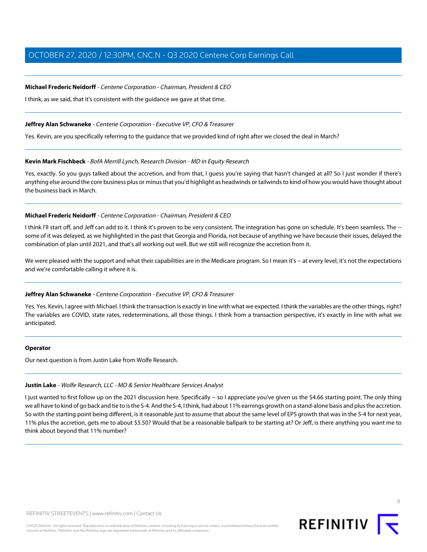## **Michael Frederic Neidorff** - Centene Corporation - Chairman, President & CEO **Michael Frederic Neidorff** - Centene Corporation - Chairman, President & CEO

I think, as we said, that it's consistent with the guidance we gave at that time. I think, as we said, that it's consistent with the guidance we gave at that time.

## **Jeffrey Alan Schwaneke** - Centene Corporation - Executive VP, CFO & Treasurer

Yes. Kevin, are you specifically referring to the guidance that we provided kind of right after we closed the deal in March?

## **Kevin Mark Fischbeck** - BofA Merrill Lynch, Research Division - MD in Equity Research

Yes, exactly. So you guys talked about the accretion, and from that, I guess you're saying that hasn't changed at all? So I just wonder if there's anything else around the core business plus or minus that you'd highlight as headwinds or tailwinds to kind of how you would have thought about the business back in March.

## **Michael Frederic Neidorff** - Centene Corporation - Chairman, President & CEO

I think I'll start off, and Jeff can add to it. I think it's proven to be very consistent. The integration has gone on schedule. It's been seamless. The some of it was delayed, as we highlighted in the past that Georgia and Florida, not because of anything we have because their issues, delayed the combination of plan until 2021, and that's all working out well. But we still will recognize the accretion from it.

We were pleased with the support and what their capabilities are in the Medicare program. So I mean it's -- at every level, it's not the expectations and we're comfortable calling it where it is.

## **Jeffrey Alan Schwaneke** - Centene Corporation - Executive VP, CFO & Treasurer

Yes. Yes. Kevin, I agree with Michael. I think the transaction is exactly in line with what we expected. I think the variables are the other things, right? The variables are COVID, state rates, redeterminations, all those things. I think from a transaction perspective, it's exactly in line with what we anticipated.

#### **Operator**

Our next question is from Justin Lake from Wolfe Research.

#### **Justin Lake** - Wolfe Research, LLC - MD & Senior Healthcare Services Analyst

I just wanted to first follow up on the 2021 discussion here. Specifically -- so I appreciate you've given us the \$4.66 starting point. The only thing we all have to kind of go back and tie to is the S-4. And the S-4, I think, had about 11% earnings growth on a stand-alone basis and plus the accretion. So with the starting point being different, is it reasonable just to assume that about the same level of EPS growth that was in the S-4 for next year, 11% plus the accretion, gets me to about \$5.50? Would that be a reasonable ballpark to be starting at? Or Jeff, is there anything you want me to think about beyond that 11% number?

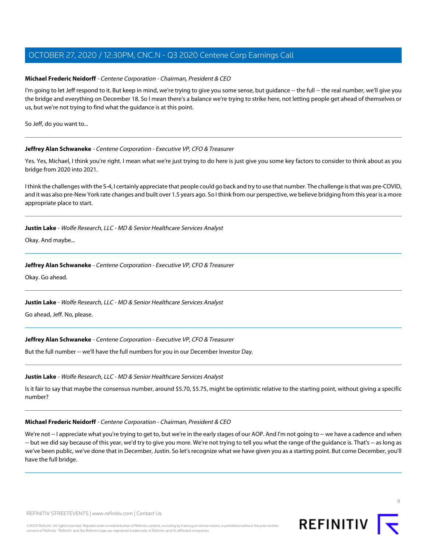## **Michael Frederic Neidorff** - Centene Corporation - Chairman, President & CEO **Michael Frederic Neidorff** - Centene Corporation - Chairman, President & CEO

I'm going to let Jeff respond to it. But keep in mind, we're trying to give you some sense, but guidance -- the full -- the real number, we'll give you the bridge and everything on December 18. So I mean there's a balance we're trying to strike here, not letting people get ahead of themselves or us, but we're not trying to find what the guidance is at this point. us, but we're not trying to find what the guidance is at this point.

So Jeff, do you want to...

## **Jeffrey Alan Schwaneke** - Centene Corporation - Executive VP, CFO & Treasurer

Yes. Yes, Michael, I think you're right. I mean what we're just trying to do here is just give you some key factors to consider to think about as you bridge from 2020 into 2021.

I think the challenges with the S-4, I certainly appreciate that people could go back and try to use that number. The challenge is that was pre-COVID, and it was also pre-New York rate changes and built over 1.5 years ago. So I think from our perspective, we believe bridging from this year is a more appropriate place to start.

## **Justin Lake** - Wolfe Research, LLC - MD & Senior Healthcare Services Analyst

Okay. And maybe...

## **Jeffrey Alan Schwaneke** - Centene Corporation - Executive VP, CFO & Treasurer

Okay. Go ahead.

## **Justin Lake** - Wolfe Research, LLC - MD & Senior Healthcare Services Analyst

Go ahead, Jeff. No, please.

## **Jeffrey Alan Schwaneke** - Centene Corporation - Executive VP, CFO & Treasurer

But the full number -- we'll have the full numbers for you in our December Investor Day.

## **Justin Lake** - Wolfe Research, LLC - MD & Senior Healthcare Services Analyst

Is it fair to say that maybe the consensus number, around \$5.70, \$5.75, might be optimistic relative to the starting point, without giving a specific number?

## **Michael Frederic Neidorff** - Centene Corporation - Chairman, President & CEO

We're not -- I appreciate what you're trying to get to, but we're in the early stages of our AOP. And I'm not going to -- we have a cadence and when -- but we did say because of this year, we'd try to give you more. We're not trying to tell you what the range of the guidance is. That's -- as long as we've been public, we've done that in December, Justin. So let's recognize what we have given you as a starting point. But come December, you'll have the full bridge.

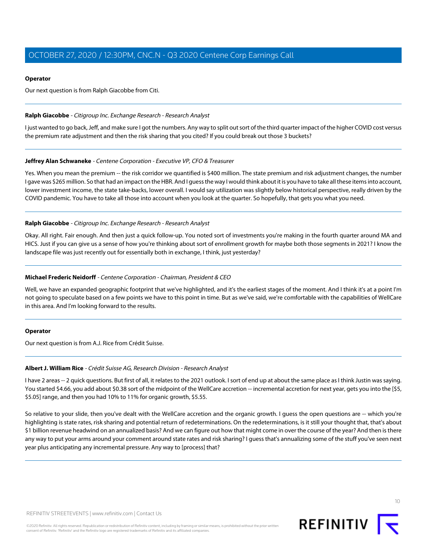## **Operator Operator**

Our next question is from Ralph Giacobbe from Citi. Our next question is from Ralph Giacobbe from Citi.

## **Ralph Giacobbe** - Citigroup Inc. Exchange Research - Research Analyst **Ralph Giacobbe** - Citigroup Inc. Exchange Research - Research Analyst

I just wanted to go back, Jeff, and make sure I got the numbers. Any way to split out sort of the third quarter impact of the higher COVID cost versus the premium rate adjustment and then the risk sharing that you cited? If you could break out those 3 buckets?

## **Jeffrey Alan Schwaneke** - Centene Corporation - Executive VP, CFO & Treasurer

Yes. When you mean the premium -- the risk corridor we quantified is \$400 million. The state premium and risk adjustment changes, the number I gave was \$265 million. So that had an impact on the HBR. And I guess the way I would think about it is you have to take all these items into account, lower investment income, the state take-backs, lower overall. I would say utilization was slightly below historical perspective, really driven by the COVID pandemic. You have to take all those into account when you look at the quarter. So hopefully, that gets you what you need.

## **Ralph Giacobbe** - Citigroup Inc. Exchange Research - Research Analyst

Okay. All right. Fair enough. And then just a quick follow-up. You noted sort of investments you're making in the fourth quarter around MA and HICS. Just if you can give us a sense of how you're thinking about sort of enrollment growth for maybe both those segments in 2021? I know the landscape file was just recently out for essentially both in exchange, I think, just yesterday?

## **Michael Frederic Neidorff** - Centene Corporation - Chairman, President & CEO

Well, we have an expanded geographic footprint that we've highlighted, and it's the earliest stages of the moment. And I think it's at a point I'm not going to speculate based on a few points we have to this point in time. But as we've said, we're comfortable with the capabilities of WellCare in this area. And I'm looking forward to the results.

## **Operator**

Our next question is from A.J. Rice from Crédit Suisse.

#### **Albert J. William Rice** - Crédit Suisse AG, Research Division - Research Analyst

I have 2 areas -- 2 quick questions. But first of all, it relates to the 2021 outlook. I sort of end up at about the same place as I think Justin was saying. You started \$4.66, you add about \$0.38 sort of the midpoint of the WellCare accretion -- incremental accretion for next year, gets you into the [\$5, \$5.05] range, and then you had 10% to 11% for organic growth, \$5.55.

So relative to your slide, then you've dealt with the WellCare accretion and the organic growth. I guess the open questions are -- which you're highlighting is state rates, risk sharing and potential return of redeterminations. On the redeterminations, is it still your thought that, that's about \$1 billion revenue headwind on an annualized basis? And we can figure out how that might come in over the course of the year? And then is there any way to put your arms around your comment around state rates and risk sharing? I guess that's annualizing some of the stuff you've seen next year plus anticipating any incremental pressure. Any way to [process] that?

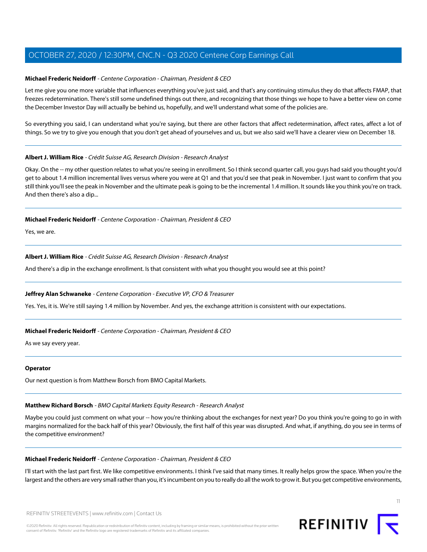## **Michael Frederic Neidorff** - Centene Corporation - Chairman, President & CEO **Michael Frederic Neidorff** - Centene Corporation - Chairman, President & CEO

Let me give you one more variable that influences everything you've just said, and that's any continuing stimulus they do that affects FMAP, that freezes redetermination. There's still some undefined things out there, and recognizing that those things we hope to have a better view on come the December Investor Day will actually be behind us, hopefully, and we'll understand what some of the policies are.

So everything you said, I can understand what you're saying, but there are other factors that affect redetermination, affect rates, affect a lot of things. So we try to give you enough that you don't get ahead of yourselves and us, but we also said we'll have a clearer view on December 18.

## **Albert J. William Rice** - Crédit Suisse AG, Research Division - Research Analyst

Okay. On the -- my other question relates to what you're seeing in enrollment. So I think second quarter call, you guys had said you thought you'd get to about 1.4 million incremental lives versus where you were at Q1 and that you'd see that peak in November. I just want to confirm that you still think you'll see the peak in November and the ultimate peak is going to be the incremental 1.4 million. It sounds like you think you're on track. And then there's also a dip...

## **Michael Frederic Neidorff** - Centene Corporation - Chairman, President & CEO

Yes, we are.

## **Albert J. William Rice** - Crédit Suisse AG, Research Division - Research Analyst

And there's a dip in the exchange enrollment. Is that consistent with what you thought you would see at this point?

## **Jeffrey Alan Schwaneke** - Centene Corporation - Executive VP, CFO & Treasurer

Yes. Yes, it is. We're still saying 1.4 million by November. And yes, the exchange attrition is consistent with our expectations.

## **Michael Frederic Neidorff** - Centene Corporation - Chairman, President & CEO

As we say every year.

#### **Operator**

Our next question is from Matthew Borsch from BMO Capital Markets.

## **Matthew Richard Borsch** - BMO Capital Markets Equity Research - Research Analyst

Maybe you could just comment on what your -- how you're thinking about the exchanges for next year? Do you think you're going to go in with margins normalized for the back half of this year? Obviously, the first half of this year was disrupted. And what, if anything, do you see in terms of the competitive environment?

#### **Michael Frederic Neidorff** - Centene Corporation - Chairman, President & CEO

I'll start with the last part first. We like competitive environments. I think I've said that many times. It really helps grow the space. When you're the largest and the others are very small rather than you, it's incumbent on you to really do all the work to grow it. But you get competitive environments,

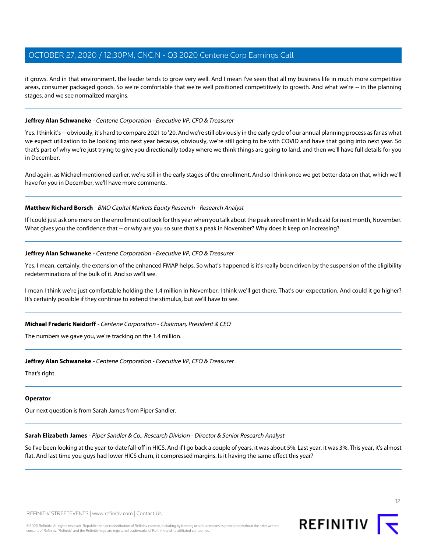it grows. And in that environment, the leader tends to grow very well. And I mean I've seen that all my business life in much more competitive areas, consumer packaged goods. So we're comfortable that we're well positioned competitively to growth. And what we're -- in the planning stages, and we see normalized margins. stages, and we see normalized margins.

## **Jeffrey Alan Schwaneke** - Centene Corporation - Executive VP, CFO & Treasurer

Yes. I think it's -- obviously, it's hard to compare 2021 to '20. And we're still obviously in the early cycle of our annual planning process as far as what we expect utilization to be looking into next year because, obviously, we're still going to be with COVID and have that going into next year. So that's part of why we're just trying to give you directionally today where we think things are going to land, and then we'll have full details for you in December.

And again, as Michael mentioned earlier, we're still in the early stages of the enrollment. And so I think once we get better data on that, which we'll have for you in December, we'll have more comments.

## **Matthew Richard Borsch** - BMO Capital Markets Equity Research - Research Analyst

If I could just ask one more on the enrollment outlook for this year when you talk about the peak enrollment in Medicaid for next month, November. What gives you the confidence that -- or why are you so sure that's a peak in November? Why does it keep on increasing?

#### **Jeffrey Alan Schwaneke** - Centene Corporation - Executive VP, CFO & Treasurer

Yes. I mean, certainly, the extension of the enhanced FMAP helps. So what's happened is it's really been driven by the suspension of the eligibility redeterminations of the bulk of it. And so we'll see.

I mean I think we're just comfortable holding the 1.4 million in November, I think we'll get there. That's our expectation. And could it go higher? It's certainly possible if they continue to extend the stimulus, but we'll have to see.

#### **Michael Frederic Neidorff** - Centene Corporation - Chairman, President & CEO

The numbers we gave you, we're tracking on the 1.4 million.

#### **Jeffrey Alan Schwaneke** - Centene Corporation - Executive VP, CFO & Treasurer

That's right.

#### **Operator**

Our next question is from Sarah James from Piper Sandler.

#### **Sarah Elizabeth James** - Piper Sandler & Co., Research Division - Director & Senior Research Analyst

So I've been looking at the year-to-date fall-off in HICS. And if I go back a couple of years, it was about 5%. Last year, it was 3%. This year, it's almost flat. And last time you guys had lower HICS churn, it compressed margins. Is it having the same effect this year?



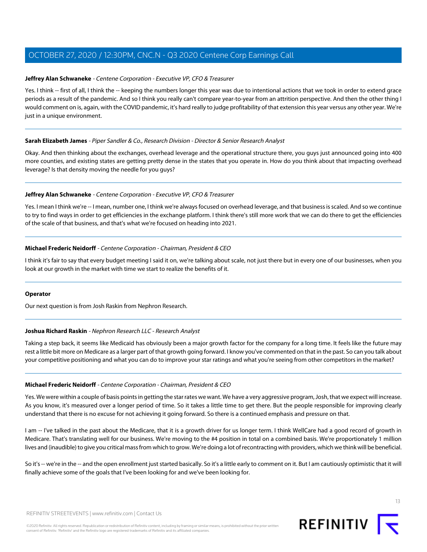## **Jeffrey Alan Schwaneke** - Centene Corporation - Executive VP, CFO & Treasurer **Jeffrey Alan Schwaneke** - Centene Corporation - Executive VP, CFO & Treasurer

Yes. I think -- first of all, I think the -- keeping the numbers longer this year was due to intentional actions that we took in order to extend grace periods as a result of the pandemic. And so I think you really can't compare year-to-year from an attrition perspective. And then the other thing I would comment on is, again, with the COVID pandemic, it's hard really to judge profitability of that extension this year versus any other year. We're just in a unique environment. just in a unique environment.

## **Sarah Elizabeth James** - Piper Sandler & Co., Research Division - Director & Senior Research Analyst

Okay. And then thinking about the exchanges, overhead leverage and the operational structure there, you guys just announced going into 400 more counties, and existing states are getting pretty dense in the states that you operate in. How do you think about that impacting overhead leverage? Is that density moving the needle for you guys?

## **Jeffrey Alan Schwaneke** - Centene Corporation - Executive VP, CFO & Treasurer

Yes. I mean I think we're -- I mean, number one, I think we're always focused on overhead leverage, and that business is scaled. And so we continue to try to find ways in order to get efficiencies in the exchange platform. I think there's still more work that we can do there to get the efficiencies of the scale of that business, and that's what we're focused on heading into 2021.

## **Michael Frederic Neidorff** - Centene Corporation - Chairman, President & CEO

I think it's fair to say that every budget meeting I said it on, we're talking about scale, not just there but in every one of our businesses, when you look at our growth in the market with time we start to realize the benefits of it.

## **Operator**

Our next question is from Josh Raskin from Nephron Research.

## **Joshua Richard Raskin** - Nephron Research LLC - Research Analyst

Taking a step back, it seems like Medicaid has obviously been a major growth factor for the company for a long time. It feels like the future may rest a little bit more on Medicare as a larger part of that growth going forward. I know you've commented on that in the past. So can you talk about your competitive positioning and what you can do to improve your star ratings and what you're seeing from other competitors in the market?

## **Michael Frederic Neidorff** - Centene Corporation - Chairman, President & CEO

Yes. We were within a couple of basis points in getting the star rates we want. We have a very aggressive program, Josh, that we expect will increase. As you know, it's measured over a longer period of time. So it takes a little time to get there. But the people responsible for improving clearly understand that there is no excuse for not achieving it going forward. So there is a continued emphasis and pressure on that.

I am -- I've talked in the past about the Medicare, that it is a growth driver for us longer term. I think WellCare had a good record of growth in Medicare. That's translating well for our business. We're moving to the #4 position in total on a combined basis. We're proportionately 1 million lives and (inaudible) to give you critical mass from which to grow. We're doing a lot of recontracting with providers, which we think will be beneficial.

So it's -- we're in the -- and the open enrollment just started basically. So it's a little early to comment on it. But I am cautiously optimistic that it will finally achieve some of the goals that I've been looking for and we've been looking for.

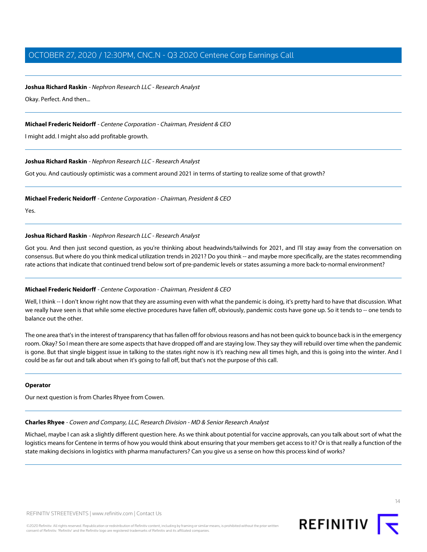## **Joshua Richard Raskin** - Nephron Research LLC - Research Analyst **Joshua Richard Raskin** - Nephron Research LLC - Research Analyst

Okay. Perfect. And then... Okay. Perfect. And then...

## **Michael Frederic Neidorff** - Centene Corporation - Chairman, President & CEO

I might add. I might also add profitable growth.

## **Joshua Richard Raskin** - Nephron Research LLC - Research Analyst

Got you. And cautiously optimistic was a comment around 2021 in terms of starting to realize some of that growth?

## **Michael Frederic Neidorff** - Centene Corporation - Chairman, President & CEO

Yes.

## **Joshua Richard Raskin** - Nephron Research LLC - Research Analyst

Got you. And then just second question, as you're thinking about headwinds/tailwinds for 2021, and I'll stay away from the conversation on consensus. But where do you think medical utilization trends in 2021? Do you think -- and maybe more specifically, are the states recommending rate actions that indicate that continued trend below sort of pre-pandemic levels or states assuming a more back-to-normal environment?

## **Michael Frederic Neidorff** - Centene Corporation - Chairman, President & CEO

Well, I think -- I don't know right now that they are assuming even with what the pandemic is doing, it's pretty hard to have that discussion. What we really have seen is that while some elective procedures have fallen off, obviously, pandemic costs have gone up. So it tends to -- one tends to balance out the other.

The one area that's in the interest of transparency that has fallen off for obvious reasons and has not been quick to bounce back is in the emergency room. Okay? So I mean there are some aspects that have dropped off and are staying low. They say they will rebuild over time when the pandemic is gone. But that single biggest issue in talking to the states right now is it's reaching new all times high, and this is going into the winter. And I could be as far out and talk about when it's going to fall off, but that's not the purpose of this call.

## **Operator**

Our next question is from Charles Rhyee from Cowen.

## **Charles Rhyee** - Cowen and Company, LLC, Research Division - MD & Senior Research Analyst

Michael, maybe I can ask a slightly different question here. As we think about potential for vaccine approvals, can you talk about sort of what the logistics means for Centene in terms of how you would think about ensuring that your members get access to it? Or is that really a function of the state making decisions in logistics with pharma manufacturers? Can you give us a sense on how this process kind of works?

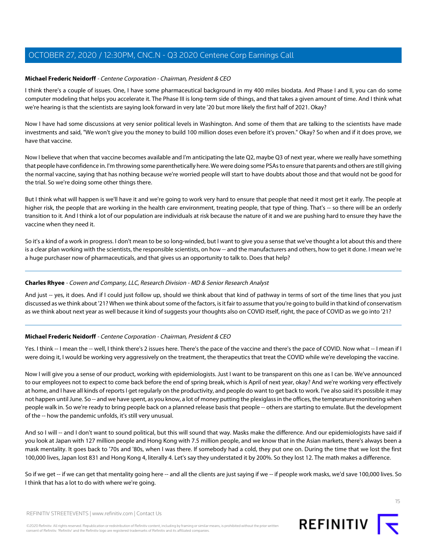## **Michael Frederic Neidorff** - Centene Corporation - Chairman, President & CEO **Michael Frederic Neidorff** - Centene Corporation - Chairman, President & CEO

I think there's a couple of issues. One, I have some pharmaceutical background in my 400 miles biodata. And Phase I and II, you can do some computer modeling that helps you accelerate it. The Phase III is long-term side of things, and that takes a given amount of time. And I think what we're hearing is that the scientists are saying look forward in very late '20 but more likely the first half of 2021. Okay?

Now I have had some discussions at very senior political levels in Washington. And some of them that are talking to the scientists have made investments and said, "We won't give you the money to build 100 million doses even before it's proven." Okay? So when and if it does prove, we have that vaccine.

Now I believe that when that vaccine becomes available and I'm anticipating the late Q2, maybe Q3 of next year, where we really have something that people have confidence in. I'm throwing some parenthetically here. We were doing some PSAs to ensure that parents and others are still giving the normal vaccine, saying that has nothing because we're worried people will start to have doubts about those and that would not be good for the trial. So we're doing some other things there.

But I think what will happen is we'll have it and we're going to work very hard to ensure that people that need it most get it early. The people at higher risk, the people that are working in the health care environment, treating people, that type of thing. That's -- so there will be an orderly transition to it. And I think a lot of our population are individuals at risk because the nature of it and we are pushing hard to ensure they have the vaccine when they need it.

So it's a kind of a work in progress. I don't mean to be so long-winded, but I want to give you a sense that we've thought a lot about this and there is a clear plan working with the scientists, the responsible scientists, on how -- and the manufacturers and others, how to get it done. I mean we're a huge purchaser now of pharmaceuticals, and that gives us an opportunity to talk to. Does that help?

## **Charles Rhyee** - Cowen and Company, LLC, Research Division - MD & Senior Research Analyst

And just -- yes, it does. And if I could just follow up, should we think about that kind of pathway in terms of sort of the time lines that you just discussed as we think about '21? When we think about some of the factors, is it fair to assume that you're going to build in that kind of conservatism as we think about next year as well because it kind of suggests your thoughts also on COVID itself, right, the pace of COVID as we go into '21?

## **Michael Frederic Neidorff** - Centene Corporation - Chairman, President & CEO

Yes. I think -- I mean the -- well, I think there's 2 issues here. There's the pace of the vaccine and there's the pace of COVID. Now what -- I mean if I were doing it, I would be working very aggressively on the treatment, the therapeutics that treat the COVID while we're developing the vaccine.

Now I will give you a sense of our product, working with epidemiologists. Just I want to be transparent on this one as I can be. We've announced to our employees not to expect to come back before the end of spring break, which is April of next year, okay? And we're working very effectively at home, and I have all kinds of reports I get regularly on the productivity, and people do want to get back to work. I've also said it's possible it may not happen until June. So -- and we have spent, as you know, a lot of money putting the plexiglass in the offices, the temperature monitoring when people walk in. So we're ready to bring people back on a planned release basis that people -- others are starting to emulate. But the development of the -- how the pandemic unfolds, it's still very unusual.

And so I will -- and I don't want to sound political, but this will sound that way. Masks make the difference. And our epidemiologists have said if you look at Japan with 127 million people and Hong Kong with 7.5 million people, and we know that in the Asian markets, there's always been a mask mentality. It goes back to '70s and '80s, when I was there. If somebody had a cold, they put one on. During the time that we lost the first 100,000 lives, Japan lost 831 and Hong Kong 4, literally 4. Let's say they understated it by 200%. So they lost 12. The math makes a difference.

So if we get -- if we can get that mentality going here -- and all the clients are just saying if we -- if people work masks, we'd save 100,000 lives. So I think that has a lot to do with where we're going.



REFINITIV STREETEVENTS | www.refinitiv.com | Contact Us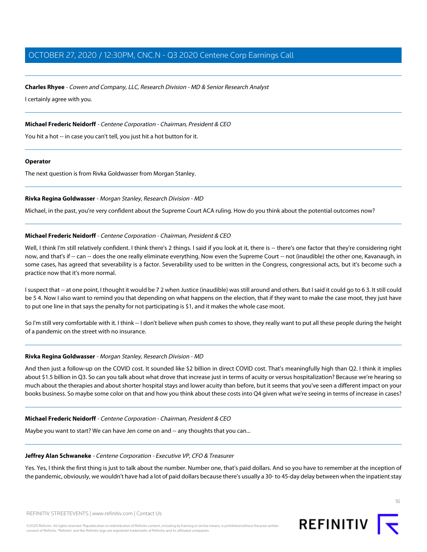# **Charles Rhyee** - Cowen and Company, LLC, Research Division - MD & Senior Research Analyst **Charles Rhyee** - Cowen and Company, LLC, Research Division - MD & Senior Research Analyst

I certainly agree with you. I certainly agree with you.

## **Michael Frederic Neidorff** - Centene Corporation - Chairman, President & CEO

You hit a hot -- in case you can't tell, you just hit a hot button for it.

#### **Operator**

The next question is from Rivka Goldwasser from Morgan Stanley.

## **Rivka Regina Goldwasser** - Morgan Stanley, Research Division - MD

Michael, in the past, you're very confident about the Supreme Court ACA ruling. How do you think about the potential outcomes now?

## **Michael Frederic Neidorff** - Centene Corporation - Chairman, President & CEO

Well, I think I'm still relatively confident. I think there's 2 things. I said if you look at it, there is -- there's one factor that they're considering right now, and that's if -- can -- does the one really eliminate everything. Now even the Supreme Court -- not (inaudible) the other one, Kavanaugh, in some cases, has agreed that severability is a factor. Severability used to be written in the Congress, congressional acts, but it's become such a practice now that it's more normal.

I suspect that -- at one point, I thought it would be 7 2 when Justice (inaudible) was still around and others. But I said it could go to 6 3. It still could be 5 4. Now I also want to remind you that depending on what happens on the election, that if they want to make the case moot, they just have to put one line in that says the penalty for not participating is \$1, and it makes the whole case moot.

So I'm still very comfortable with it. I think -- I don't believe when push comes to shove, they really want to put all these people during the height of a pandemic on the street with no insurance.

## **Rivka Regina Goldwasser** - Morgan Stanley, Research Division - MD

And then just a follow-up on the COVID cost. It sounded like \$2 billion in direct COVID cost. That's meaningfully high than Q2. I think it implies about \$1.5 billion in Q3. So can you talk about what drove that increase just in terms of acuity or versus hospitalization? Because we're hearing so much about the therapies and about shorter hospital stays and lower acuity than before, but it seems that you've seen a different impact on your books business. So maybe some color on that and how you think about these costs into Q4 given what we're seeing in terms of increase in cases?

## **Michael Frederic Neidorff** - Centene Corporation - Chairman, President & CEO

Maybe you want to start? We can have Jen come on and -- any thoughts that you can...

## **Jeffrey Alan Schwaneke** - Centene Corporation - Executive VP, CFO & Treasurer

Yes. Yes, I think the first thing is just to talk about the number. Number one, that's paid dollars. And so you have to remember at the inception of the pandemic, obviously, we wouldn't have had a lot of paid dollars because there's usually a 30- to 45-day delay between when the inpatient stay

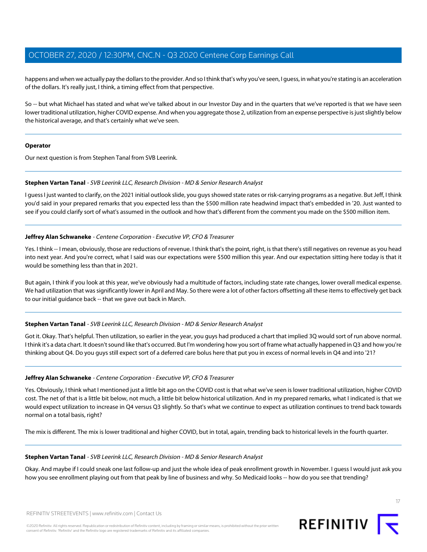happens and when we actually pay the dollars to the provider. And so I think that's why you've seen, I guess, in what you're stating is an acceleration of the dollars. It's really just, I think, a timing effect from that perspective. of the dollars. It's really just, I think, a timing effect from that perspective.

So -- but what Michael has stated and what we've talked about in our Investor Day and in the quarters that we've reported is that we have seen lower traditional utilization, higher COVID expense. And when you aggregate those 2, utilization from an expense perspective is just slightly below the historical average, and that's certainly what we've seen.

## **Operator**

Our next question is from Stephen Tanal from SVB Leerink.

## **Stephen Vartan Tanal** - SVB Leerink LLC, Research Division - MD & Senior Research Analyst

I guess I just wanted to clarify, on the 2021 initial outlook slide, you guys showed state rates or risk-carrying programs as a negative. But Jeff, I think you'd said in your prepared remarks that you expected less than the \$500 million rate headwind impact that's embedded in '20. Just wanted to see if you could clarify sort of what's assumed in the outlook and how that's different from the comment you made on the \$500 million item.

## **Jeffrey Alan Schwaneke** - Centene Corporation - Executive VP, CFO & Treasurer

Yes. I think -- I mean, obviously, those are reductions of revenue. I think that's the point, right, is that there's still negatives on revenue as you head into next year. And you're correct, what I said was our expectations were \$500 million this year. And our expectation sitting here today is that it would be something less than that in 2021.

But again, I think if you look at this year, we've obviously had a multitude of factors, including state rate changes, lower overall medical expense. We had utilization that was significantly lower in April and May. So there were a lot of other factors offsetting all these items to effectively get back to our initial guidance back -- that we gave out back in March.

## **Stephen Vartan Tanal** - SVB Leerink LLC, Research Division - MD & Senior Research Analyst

Got it. Okay. That's helpful. Then utilization, so earlier in the year, you guys had produced a chart that implied 3Q would sort of run above normal. I think it's a data chart. It doesn't sound like that's occurred. But I'm wondering how you sort of frame what actually happened in Q3 and how you're thinking about Q4. Do you guys still expect sort of a deferred care bolus here that put you in excess of normal levels in Q4 and into '21?

## **Jeffrey Alan Schwaneke** - Centene Corporation - Executive VP, CFO & Treasurer

Yes. Obviously, I think what I mentioned just a little bit ago on the COVID cost is that what we've seen is lower traditional utilization, higher COVID cost. The net of that is a little bit below, not much, a little bit below historical utilization. And in my prepared remarks, what I indicated is that we would expect utilization to increase in Q4 versus Q3 slightly. So that's what we continue to expect as utilization continues to trend back towards normal on a total basis, right?

The mix is different. The mix is lower traditional and higher COVID, but in total, again, trending back to historical levels in the fourth quarter.

## **Stephen Vartan Tanal** - SVB Leerink LLC, Research Division - MD & Senior Research Analyst

Okay. And maybe if I could sneak one last follow-up and just the whole idea of peak enrollment growth in November. I guess I would just ask you how you see enrollment playing out from that peak by line of business and why. So Medicaid looks -- how do you see that trending?

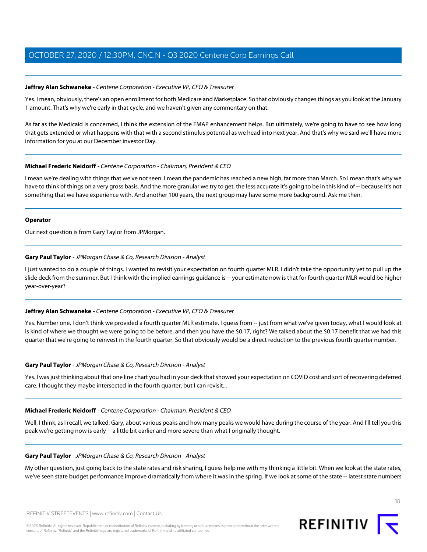## **Jeffrey Alan Schwaneke** - Centene Corporation - Executive VP, CFO & Treasurer **Jeffrey Alan Schwaneke** - Centene Corporation - Executive VP, CFO & Treasurer

Yes. I mean, obviously, there's an open enrollment for both Medicare and Marketplace. So that obviously changes things as you look at the January 1 amount. That's why we're early in that cycle, and we haven't given any commentary on that. 1 amount. That's why we're early in that cycle, and we haven't given any commentary on that.

As far as the Medicaid is concerned, I think the extension of the FMAP enhancement helps. But ultimately, we're going to have to see how long that gets extended or what happens with that with a second stimulus potential as we head into next year. And that's why we said we'll have more information for you at our December investor Day.

## **Michael Frederic Neidorff** - Centene Corporation - Chairman, President & CEO

I mean we're dealing with things that we've not seen. I mean the pandemic has reached a new high, far more than March. So I mean that's why we have to think of things on a very gross basis. And the more granular we try to get, the less accurate it's going to be in this kind of -- because it's not something that we have experience with. And another 100 years, the next group may have some more background. Ask me then.

## **Operator**

Our next question is from Gary Taylor from JPMorgan.

## **Gary Paul Taylor** - JPMorgan Chase & Co, Research Division - Analyst

I just wanted to do a couple of things. I wanted to revisit your expectation on fourth quarter MLR. I didn't take the opportunity yet to pull up the slide deck from the summer. But I think with the implied earnings guidance is -- your estimate now is that for fourth quarter MLR would be higher year-over-year?

## **Jeffrey Alan Schwaneke** - Centene Corporation - Executive VP, CFO & Treasurer

Yes. Number one, I don't think we provided a fourth quarter MLR estimate. I quess from -- just from what we've given today, what I would look at is kind of where we thought we were going to be before, and then you have the \$0.17, right? We talked about the \$0.17 benefit that we had this quarter that we're going to reinvest in the fourth quarter. So that obviously would be a direct reduction to the previous fourth quarter number.

## **Gary Paul Taylor** - JPMorgan Chase & Co, Research Division - Analyst

Yes. I was just thinking about that one line chart you had in your deck that showed your expectation on COVID cost and sort of recovering deferred care. I thought they maybe intersected in the fourth quarter, but I can revisit...

## **Michael Frederic Neidorff** - Centene Corporation - Chairman, President & CEO

Well, I think, as I recall, we talked, Gary, about various peaks and how many peaks we would have during the course of the year. And I'll tell you this peak we're getting now is early -- a little bit earlier and more severe than what I originally thought.

## **Gary Paul Taylor** - JPMorgan Chase & Co, Research Division - Analyst

My other question, just going back to the state rates and risk sharing, I guess help me with my thinking a little bit. When we look at the state rates, we've seen state budget performance improve dramatically from where it was in the spring. If we look at some of the state -- latest state numbers

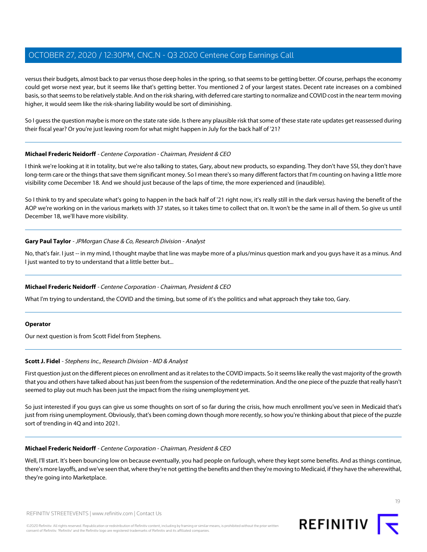versus their budgets, almost back to par versus those deep holes in the spring, so that seems to be getting better. Of course, perhaps the economy could get worse next year, but it seems like that's getting better. You mentioned 2 of your largest states. Decent rate increases on a combined basis, so that seems to be relatively stable. And on the risk sharing, with deferred care starting to normalize and COVID cost in the near term moving higher, it would seem like the risk-sharing liability would be sort of diminishing. higher, it would seem like the risk-sharing liability would be sort of diminishing.

So I guess the question maybe is more on the state rate side. Is there any plausible risk that some of these state rate updates get reassessed during their fiscal year? Or you're just leaving room for what might happen in July for the back half of '21?

## **Michael Frederic Neidorff** - Centene Corporation - Chairman, President & CEO

I think we're looking at it in totality, but we're also talking to states, Gary, about new products, so expanding. They don't have SSI, they don't have long-term care or the things that save them significant money. So I mean there's so many different factors that I'm counting on having a little more visibility come December 18. And we should just because of the laps of time, the more experienced and (inaudible).

So I think to try and speculate what's going to happen in the back half of '21 right now, it's really still in the dark versus having the benefit of the AOP we're working on in the various markets with 37 states, so it takes time to collect that on. It won't be the same in all of them. So give us until December 18, we'll have more visibility.

## **Gary Paul Taylor** - JPMorgan Chase & Co, Research Division - Analyst

No, that's fair. I just -- in my mind, I thought maybe that line was maybe more of a plus/minus question mark and you guys have it as a minus. And I just wanted to try to understand that a little better but...

## **Michael Frederic Neidorff** - Centene Corporation - Chairman, President & CEO

What I'm trying to understand, the COVID and the timing, but some of it's the politics and what approach they take too, Gary.

#### **Operator**

Our next question is from Scott Fidel from Stephens.

## **Scott J. Fidel** - Stephens Inc., Research Division - MD & Analyst

First question just on the different pieces on enrollment and as it relates to the COVID impacts. So it seems like really the vast majority of the growth that you and others have talked about has just been from the suspension of the redetermination. And the one piece of the puzzle that really hasn't seemed to play out much has been just the impact from the rising unemployment yet.

So just interested if you guys can give us some thoughts on sort of so far during the crisis, how much enrollment you've seen in Medicaid that's just from rising unemployment. Obviously, that's been coming down though more recently, so how you're thinking about that piece of the puzzle sort of trending in 4Q and into 2021.

## **Michael Frederic Neidorff** - Centene Corporation - Chairman, President & CEO

Well, I'll start. It's been bouncing low on because eventually, you had people on furlough, where they kept some benefits. And as things continue, there's more layoffs, and we've seen that, where they're not getting the benefits and then they're moving to Medicaid, if they have the wherewithal, they're going into Marketplace.

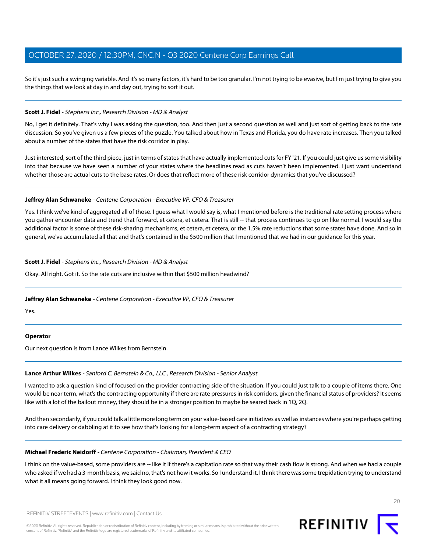So it's just such a swinging variable. And it's so many factors, it's hard to be too granular. I'm not trying to be evasive, but I'm just trying to give you the things that we look at day in and day out, trying to sort it out. the things that we look at day in and day out, trying to sort it out.

## **Scott J. Fidel** - Stephens Inc., Research Division - MD & Analyst **Scott J. Fidel** - Stephens Inc., Research Division - MD & Analyst

No, I get it definitely. That's why I was asking the question, too. And then just a second question as well and just sort of getting back to the rate discussion. So you've given us a few pieces of the puzzle. You talked about how in Texas and Florida, you do have rate increases. Then you talked about a number of the states that have the risk corridor in play.

Just interested, sort of the third piece, just in terms of states that have actually implemented cuts for FY '21. If you could just give us some visibility into that because we have seen a number of your states where the headlines read as cuts haven't been implemented. I just want understand whether those are actual cuts to the base rates. Or does that reflect more of these risk corridor dynamics that you've discussed?

## **Jeffrey Alan Schwaneke** - Centene Corporation - Executive VP, CFO & Treasurer

Yes. I think we've kind of aggregated all of those. I guess what I would say is, what I mentioned before is the traditional rate setting process where you gather encounter data and trend that forward, et cetera, et cetera. That is still -- that process continues to go on like normal. I would say the additional factor is some of these risk-sharing mechanisms, et cetera, et cetera, or the 1.5% rate reductions that some states have done. And so in general, we've accumulated all that and that's contained in the \$500 million that I mentioned that we had in our guidance for this year.

## **Scott J. Fidel** - Stephens Inc., Research Division - MD & Analyst

Okay. All right. Got it. So the rate cuts are inclusive within that \$500 million headwind?

## **Jeffrey Alan Schwaneke** - Centene Corporation - Executive VP, CFO & Treasurer

Yes.

## **Operator**

Our next question is from Lance Wilkes from Bernstein.

## **Lance Arthur Wilkes** - Sanford C. Bernstein & Co., LLC., Research Division - Senior Analyst

I wanted to ask a question kind of focused on the provider contracting side of the situation. If you could just talk to a couple of items there. One would be near term, what's the contracting opportunity if there are rate pressures in risk corridors, given the financial status of providers? It seems like with a lot of the bailout money, they should be in a stronger position to maybe be seared back in 1Q, 2Q.

And then secondarily, if you could talk a little more long term on your value-based care initiatives as well as instances where you're perhaps getting into care delivery or dabbling at it to see how that's looking for a long-term aspect of a contracting strategy?

## **Michael Frederic Neidorff** - Centene Corporation - Chairman, President & CEO

I think on the value-based, some providers are -- like it if there's a capitation rate so that way their cash flow is strong. And when we had a couple who asked if we had a 3-month basis, we said no, that's not how it works. So I understand it. I think there was some trepidation trying to understand what it all means going forward. I think they look good now.



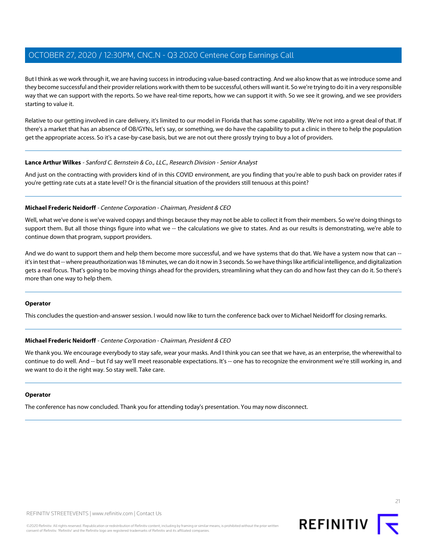But I think as we work through it, we are having success in introducing value-based contracting. And we also know that as we introduce some and they become successful and their provider relations work with them to be successful, others will want it. So we're trying to do it in a very responsible way that we can support with the reports. So we have real-time reports, how we can support it with. So we see it growing, and we see providers starting to value it. starting to value it.

Relative to our getting involved in care delivery, it's limited to our model in Florida that has some capability. We're not into a great deal of that. If there's a market that has an absence of OB/GYNs, let's say, or something, we do have the capability to put a clinic in there to help the population get the appropriate access. So it's a case-by-case basis, but we are not out there grossly trying to buy a lot of providers.

## **Lance Arthur Wilkes** - Sanford C. Bernstein & Co., LLC., Research Division - Senior Analyst

And just on the contracting with providers kind of in this COVID environment, are you finding that you're able to push back on provider rates if you're getting rate cuts at a state level? Or is the financial situation of the providers still tenuous at this point?

## **Michael Frederic Neidorff** - Centene Corporation - Chairman, President & CEO

Well, what we've done is we've waived copays and things because they may not be able to collect it from their members. So we're doing things to support them. But all those things figure into what we -- the calculations we give to states. And as our results is demonstrating, we're able to continue down that program, support providers.

And we do want to support them and help them become more successful, and we have systems that do that. We have a system now that can -it's in test that -- where preauthorization was 18 minutes, we can do it now in 3 seconds. So we have things like artificial intelligence, and digitalization gets a real focus. That's going to be moving things ahead for the providers, streamlining what they can do and how fast they can do it. So there's more than one way to help them.

#### **Operator**

This concludes the question-and-answer session. I would now like to turn the conference back over to Michael Neidorff for closing remarks.

## **Michael Frederic Neidorff** - Centene Corporation - Chairman, President & CEO

We thank you. We encourage everybody to stay safe, wear your masks. And I think you can see that we have, as an enterprise, the wherewithal to continue to do well. And -- but I'd say we'll meet reasonable expectations. It's -- one has to recognize the environment we're still working in, and we want to do it the right way. So stay well. Take care.

#### **Operator**

The conference has now concluded. Thank you for attending today's presentation. You may now disconnect.